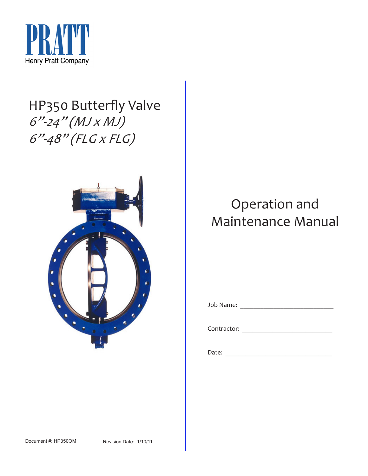

# HP350 Butterfly Valve 6"-24" (MJ x MJ) 6"-48" (FLG x FLG)



# Operation and Maintenance Manual

Job Name: \_\_\_\_\_\_\_\_\_\_\_\_\_\_\_\_\_\_\_\_\_\_\_\_\_\_\_\_

Contractor: \_\_\_\_\_\_\_\_\_\_\_\_\_\_\_\_\_\_\_\_\_\_\_\_\_\_\_

Date: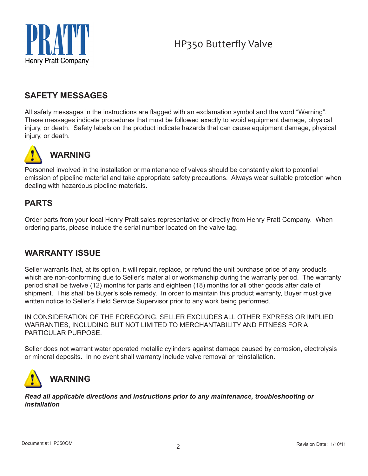

### **SAFETY MESSAGES**

All safety messages in the instructions are flagged with an exclamation symbol and the word "Warning". These messages indicate procedures that must be followed exactly to avoid equipment damage, physical injury, or death. Safety labels on the product indicate hazards that can cause equipment damage, physical injury, or death.



# **WARNING**

Personnel involved in the installation or maintenance of valves should be constantly alert to potential emission of pipeline material and take appropriate safety precautions. Always wear suitable protection when dealing with hazardous pipeline materials.

## **PARTS**

Order parts from your local Henry Pratt sales representative or directly from Henry Pratt Company. When ordering parts, please include the serial number located on the valve tag.

### **WARRANTY ISSUE**

Seller warrants that, at its option, it will repair, replace, or refund the unit purchase price of any products which are non-conforming due to Seller's material or workmanship during the warranty period. The warranty period shall be twelve (12) months for parts and eighteen (18) months for all other goods after date of shipment. This shall be Buyer's sole remedy. In order to maintain this product warranty, Buyer must give written notice to Seller's Field Service Supervisor prior to any work being performed.

IN CONSIDERATION OF THE FOREGOING, SELLER EXCLUDES ALL OTHER EXPRESS OR IMPLIED WARRANTIES, INCLUDING BUT NOT LIMITED TO MERCHANTABILITY AND FITNESS FOR A PARTICULAR PURPOSE.

Seller does not warrant water operated metallic cylinders against damage caused by corrosion, electrolysis or mineral deposits. In no event shall warranty include valve removal or reinstallation.



*Read all applicable directions and instructions prior to any maintenance, troubleshooting or installation*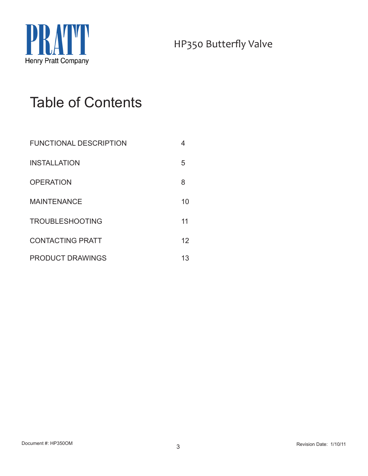

# Table of Contents

| <b>FUNCTIONAL DESCRIPTION</b> |    |
|-------------------------------|----|
| <b>INSTALLATION</b>           | 5  |
| <b>OPERATION</b>              | 8  |
| <b>MAINTENANCE</b>            | 10 |
| <b>TROUBLESHOOTING</b>        | 11 |
| <b>CONTACTING PRATT</b>       | 12 |
| <b>PRODUCT DRAWINGS</b>       | 13 |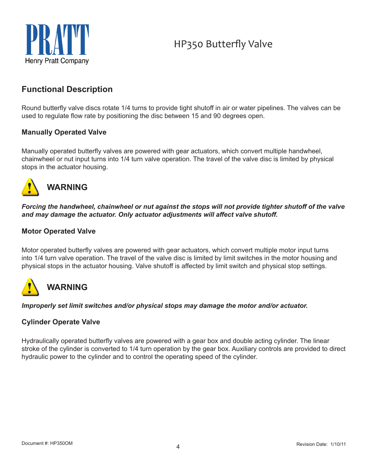

### **Functional Description**

Round butterfly valve discs rotate 1/4 turns to provide tight shutoff in air or water pipelines. The valves can be used to regulate flow rate by positioning the disc between 15 and 90 degrees open.

### **Manually Operated Valve**

Manually operated butterfly valves are powered with gear actuators, which convert multiple handwheel, chainwheel or nut input turns into 1/4 turn valve operation. The travel of the valve disc is limited by physical stops in the actuator housing.



## **WARNING**

*Forcing the handwheel, chainwheel or nut against the stops will not provide tighter shutoff of the valve and may damage the actuator. Only actuator adjustments will affect valve shutoff.*

### **Motor Operated Valve**

Motor operated butterfly valves are powered with gear actuators, which convert multiple motor input turns into 1/4 turn valve operation. The travel of the valve disc is limited by limit switches in the motor housing and physical stops in the actuator housing. Valve shutoff is affected by limit switch and physical stop settings.

# **WARNING**

*Improperly set limit switches and/or physical stops may damage the motor and/or actuator.*

### **Cylinder Operate Valve**

Hydraulically operated butterfly valves are powered with a gear box and double acting cylinder. The linear stroke of the cylinder is converted to 1/4 turn operation by the gear box. Auxiliary controls are provided to direct hydraulic power to the cylinder and to control the operating speed of the cylinder.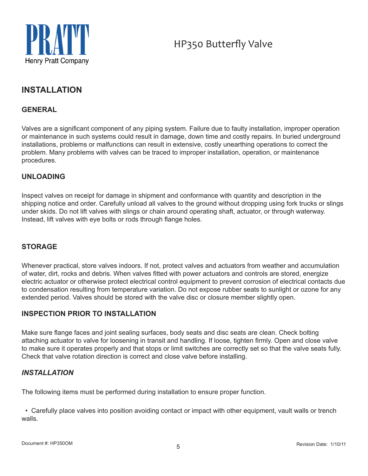

### **INSTALLATION**

### **GENERAL**

Valves are a significant component of any piping system. Failure due to faulty installation, improper operation or maintenance in such systems could result in damage, down time and costly repairs. In buried underground installations, problems or malfunctions can result in extensive, costly unearthing operations to correct the problem. Many problems with valves can be traced to improper installation, operation, or maintenance procedures.

### **UNLOADING**

Inspect valves on receipt for damage in shipment and conformance with quantity and description in the shipping notice and order. Carefully unload all valves to the ground without dropping using fork trucks or slings under skids. Do not lift valves with slings or chain around operating shaft, actuator, or through waterway. Instead, lift valves with eye bolts or rods through flange holes.

### **STORAGE**

Whenever practical, store valves indoors. If not, protect valves and actuators from weather and accumulation of water, dirt, rocks and debris. When valves fitted with power actuators and controls are stored, energize electric actuator or otherwise protect electrical control equipment to prevent corrosion of electrical contacts due to condensation resulting from temperature variation. Do not expose rubber seats to sunlight or ozone for any extended period. Valves should be stored with the valve disc or closure member slightly open.

### **INSPECTION PRIOR TO INSTALLATION**

Make sure flange faces and joint sealing surfaces, body seats and disc seats are clean. Check bolting attaching actuator to valve for loosening in transit and handling. If loose, tighten firmly. Open and close valve to make sure it operates properly and that stops or limit switches are correctly set so that the valve seats fully. Check that valve rotation direction is correct and close valve before installing.

### *INSTALLATION*

The following items must be performed during installation to ensure proper function.

 • Carefully place valves into position avoiding contact or impact with other equipment, vault walls or trench walls.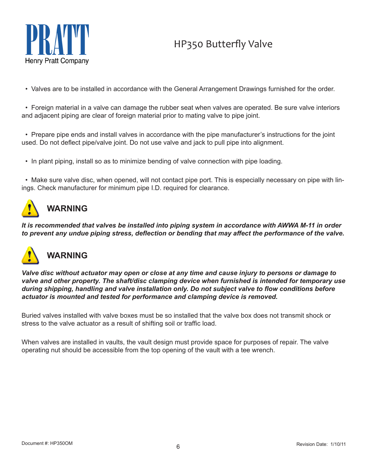

• Valves are to be installed in accordance with the General Arrangement Drawings furnished for the order.

 • Foreign material in a valve can damage the rubber seat when valves are operated. Be sure valve interiors and adjacent piping are clear of foreign material prior to mating valve to pipe joint.

 • Prepare pipe ends and install valves in accordance with the pipe manufacturer's instructions for the joint used. Do not deflect pipe/valve joint. Do not use valve and jack to pull pipe into alignment.

• In plant piping, install so as to minimize bending of valve connection with pipe loading.

 • Make sure valve disc, when opened, will not contact pipe port. This is especially necessary on pipe with linings. Check manufacturer for minimum pipe I.D. required for clearance.

# **WARNING**

*It is recommended that valves be installed into piping system in accordance with AWWA M-11 in order to prevent any undue piping stress, deflection or bending that may affect the performance of the valve.*



*Valve disc without actuator may open or close at any time and cause injury to persons or damage to valve and other property. The shaft/disc clamping device when furnished is intended for temporary use during shipping, handling and valve installation only. Do not subject valve to flow conditions before actuator is mounted and tested for performance and clamping device is removed.*

Buried valves installed with valve boxes must be so installed that the valve box does not transmit shock or stress to the valve actuator as a result of shifting soil or traffic load.

When valves are installed in vaults, the vault design must provide space for purposes of repair. The valve operating nut should be accessible from the top opening of the vault with a tee wrench.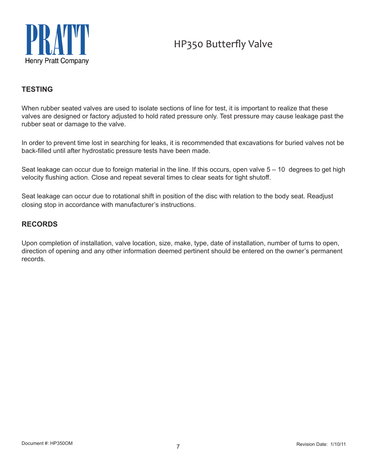

### **TESTING**

When rubber seated valves are used to isolate sections of line for test, it is important to realize that these valves are designed or factory adjusted to hold rated pressure only. Test pressure may cause leakage past the rubber seat or damage to the valve.

In order to prevent time lost in searching for leaks, it is recommended that excavations for buried valves not be back-filled until after hydrostatic pressure tests have been made.

Seat leakage can occur due to foreign material in the line. If this occurs, open valve  $5 - 10$  degrees to get high velocity flushing action. Close and repeat several times to clear seats for tight shutoff.

Seat leakage can occur due to rotational shift in position of the disc with relation to the body seat. Readjust closing stop in accordance with manufacturer's instructions.

### **RECORDS**

Upon completion of installation, valve location, size, make, type, date of installation, number of turns to open, direction of opening and any other information deemed pertinent should be entered on the owner's permanent records.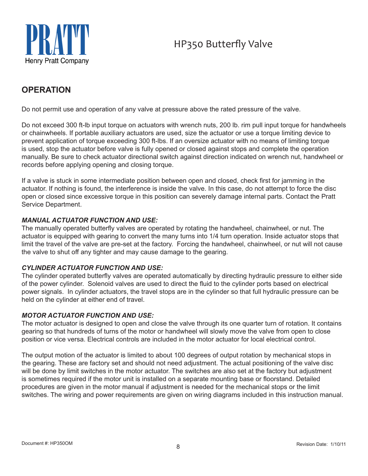



## **OPERATION**

Do not permit use and operation of any valve at pressure above the rated pressure of the valve.

Do not exceed 300 ft-lb input torque on actuators with wrench nuts, 200 lb. rim pull input torque for handwheels or chainwheels. If portable auxiliary actuators are used, size the actuator or use a torque limiting device to prevent application of torque exceeding 300 ft-lbs. If an oversize actuator with no means of limiting torque is used, stop the actuator before valve is fully opened or closed against stops and complete the operation manually. Be sure to check actuator directional switch against direction indicated on wrench nut, handwheel or records before applying opening and closing torque.

If a valve is stuck in some intermediate position between open and closed, check first for jamming in the actuator. If nothing is found, the interference is inside the valve. In this case, do not attempt to force the disc open or closed since excessive torque in this position can severely damage internal parts. Contact the Pratt Service Department.

### *MANUAL ACTUATOR FUNCTION AND USE:*

The manually operated butterfly valves are operated by rotating the handwheel, chainwheel, or nut. The actuator is equipped with gearing to convert the many turns into 1/4 turn operation. Inside actuator stops that limit the travel of the valve are pre-set at the factory. Forcing the handwheel, chainwheel, or nut will not cause the valve to shut off any tighter and may cause damage to the gearing.

### *CYLINDER ACTUATOR FUNCTION AND USE:*

The cylinder operated butterfly valves are operated automatically by directing hydraulic pressure to either side of the power cylinder. Solenoid valves are used to direct the fluid to the cylinder ports based on electrical power signals. In cylinder actuators, the travel stops are in the cylinder so that full hydraulic pressure can be held on the cylinder at either end of travel.

#### *MOTOR ACTUATOR FUNCTION AND USE:*

The motor actuator is designed to open and close the valve through its one quarter turn of rotation. It contains gearing so that hundreds of turns of the motor or handwheel will slowly move the valve from open to close position or vice versa. Electrical controls are included in the motor actuator for local electrical control.

The output motion of the actuator is limited to about 100 degrees of output rotation by mechanical stops in the gearing. These are factory set and should not need adjustment. The actual positioning of the valve disc will be done by limit switches in the motor actuator. The switches are also set at the factory but adjustment is sometimes required if the motor unit is installed on a separate mounting base or floorstand. Detailed procedures are given in the motor manual if adjustment is needed for the mechanical stops or the limit switches. The wiring and power requirements are given on wiring diagrams included in this instruction manual.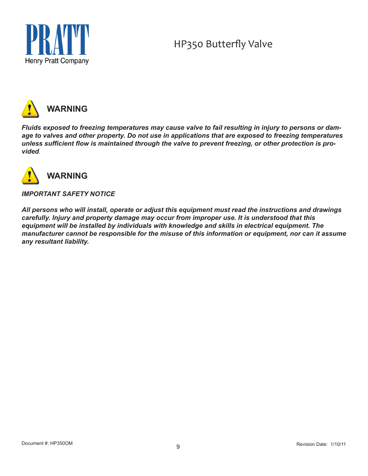

**Henry Pratt Company** 



*Fluids exposed to freezing temperatures may cause valve to fail resulting in injury to persons or damage to valves and other property. Do not use in applications that are exposed to freezing temperatures unless sufficient flow is maintained through the valve to prevent freezing, or other protection is provided.*



### *IMPORTANT SAFETY NOTICE*

*All persons who will install, operate or adjust this equipment must read the instructions and drawings carefully. Injury and property damage may occur from improper use. It is understood that this equipment will be installed by individuals with knowledge and skills in electrical equipment. The manufacturer cannot be responsible for the misuse of this information or equipment, nor can it assume any resultant liability.*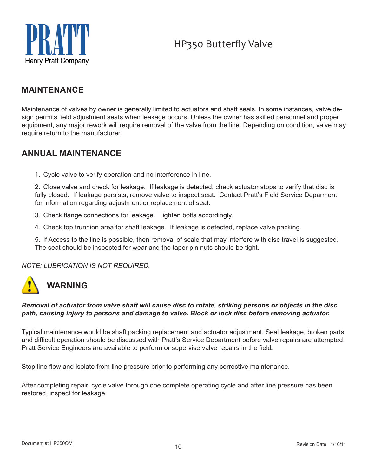

### **MAINTENANCE**

Maintenance of valves by owner is generally limited to actuators and shaft seals. In some instances, valve design permits field adjustment seats when leakage occurs. Unless the owner has skilled personnel and proper equipment, any major rework will require removal of the valve from the line. Depending on condition, valve may require return to the manufacturer.

### **ANNUAL MAINTENANCE**

1. Cycle valve to verify operation and no interference in line.

2. Close valve and check for leakage. If leakage is detected, check actuator stops to verify that disc is fully closed. If leakage persists, remove valve to inspect seat. Contact Pratt's Field Service Deparment for information regarding adjustment or replacement of seat.

- 3. Check flange connections for leakage. Tighten bolts accordingly.
- 4. Check top trunnion area for shaft leakage. If leakage is detected, replace valve packing.

5. If Access to the line is possible, then removal of scale that may interfere with disc travel is suggested. The seat should be inspected for wear and the taper pin nuts should be tight.

### *NOTE: LUBRICATION IS NOT REQUIRED.*

# **WARNING**

### *Removal of actuator from valve shaft will cause disc to rotate, striking persons or objects in the disc path, causing injury to persons and damage to valve. Block or lock disc before removing actuator.*

Typical maintenance would be shaft packing replacement and actuator adjustment. Seal leakage, broken parts and difficult operation should be discussed with Pratt's Service Department before valve repairs are attempted. Pratt Service Engineers are available to perform or supervise valve repairs in the field*.*

Stop line flow and isolate from line pressure prior to performing any corrective maintenance.

After completing repair, cycle valve through one complete operating cycle and after line pressure has been restored, inspect for leakage.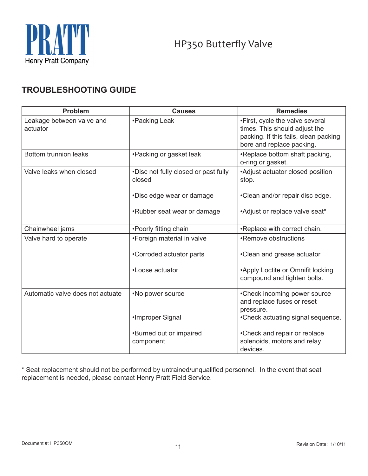

### **Troubleshooting Guide**

| <b>Problem</b>                        | <b>Causes</b>                                  | <b>Remedies</b>                                                                                                                        |
|---------------------------------------|------------------------------------------------|----------------------------------------------------------------------------------------------------------------------------------------|
| Leakage between valve and<br>actuator | •Packing Leak                                  | •First, cycle the valve several<br>times. This should adjust the<br>packing. If this fails, clean packing<br>bore and replace packing. |
| <b>Bottom trunnion leaks</b>          | •Packing or gasket leak                        | •Replace bottom shaft packing,<br>o-ring or gasket.                                                                                    |
| Valve leaks when closed               | •Disc not fully closed or past fully<br>closed | •Adjust actuator closed position<br>stop.                                                                                              |
|                                       | •Disc edge wear or damage                      | •Clean and/or repair disc edge.                                                                                                        |
|                                       | •Rubber seat wear or damage                    | *Adjust or replace valve seat*                                                                                                         |
| Chainwheel jams                       | •Poorly fitting chain                          | •Replace with correct chain.                                                                                                           |
| Valve hard to operate                 | •Foreign material in valve                     | •Remove obstructions                                                                                                                   |
|                                       | •Corroded actuator parts                       | •Clean and grease actuator                                                                                                             |
|                                       | •Loose actuator                                | •Apply Loctite or Omnifit locking<br>compound and tighten bolts.                                                                       |
| Automatic valve does not actuate      | •No power source                               | •Check incoming power source<br>and replace fuses or reset<br>pressure.                                                                |
|                                       | •Improper Signal                               | •Check actuating signal sequence.                                                                                                      |
|                                       | •Burned out or impaired<br>component           | •Check and repair or replace<br>solenoids, motors and relay<br>devices.                                                                |

\* Seat replacement should not be performed by untrained/unqualified personnel. In the event that seat replacement is needed, please contact Henry Pratt Field Service.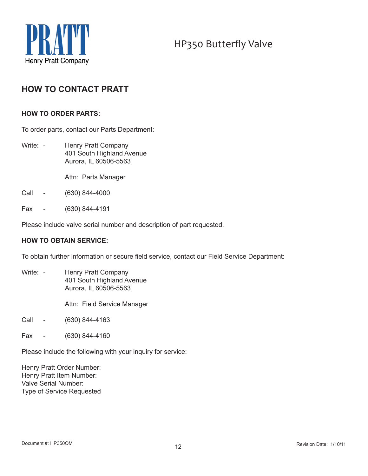

### **HOW TO CONTACT PRATT**

#### **HOW TO ORDER PARTS:**

To order parts, contact our Parts Department:

- Write: Henry Pratt Company 401 South Highland Avenue Aurora, IL 60506-5563
	- Attn: Parts Manager
- Call (630) 844-4000
- Fax (630) 844-4191

Please include valve serial number and description of part requested.

#### **HOW TO OBTAIN SERVICE:**

To obtain further information or secure field service, contact our Field Service Department:

Write: - Henry Pratt Company 401 South Highland Avenue Aurora, IL 60506-5563

Attn: Field Service Manager

- Call (630) 844-4163
- Fax (630) 844-4160

Please include the following with your inquiry for service:

Henry Pratt Order Number: Henry Pratt Item Number: Valve Serial Number: Type of Service Requested